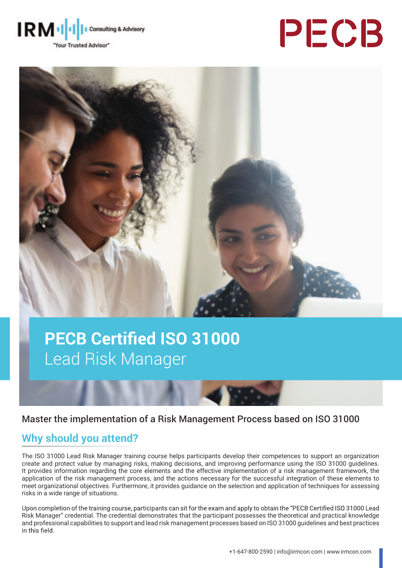





# **PECB Certified ISO 31000** Lead Risk Manager

## Master the implementation of a Risk Management Process based on ISO 31000

## **Why should you attend?**

The ISO 31000 Lead Risk Manager training course helps participants develop their competences to support an organization create and protect value by managing risks, making decisions, and improving performance using the ISO 31000 guidelines. It provides information regarding the core elements and the effective implementation of a risk management framework, the application of the risk management process, and the actions necessary for the successful integration of these elements to meet organizational objectives. Furthermore, it provides guidance on the selection and application of techniques for assessing risks in a wide range of situations.

Upon completion of the training course, participants can sit for the exam and apply to obtain the "PECB Certified ISO 31000 Lead Risk Manager" credential. The credential demonstrates that the participant possesses the theoretical and practical knowledge and professional capabilities to support and lead risk management processes based on ISO 31000 guidelines and best practices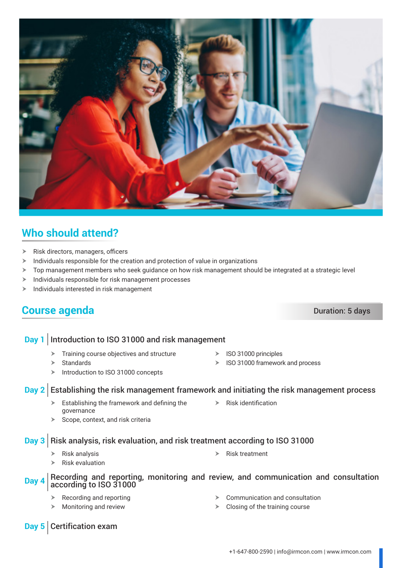- $\triangleright$  Risk directors, managers, officers
- $\blacktriangleright$  Individuals responsible for the creation and protection of value in organizations
- $\triangleright$  Top management members who seek guidance on how risk management should be integrated at a strategic level
- $\blacktriangleright$  Individuals responsible for risk management processes
- $\blacktriangleright$  Individuals interested in risk management

# **Course agenda** Duration: 5 days

### **Day 2** Establishing the risk management framework and initiating the risk management process

 $\triangleright$  Establishing the framework and defining the governance

**Day 1** Introduction to ISO 31000 and risk management

 $\blacktriangleright$  Training course objectives and structure

 $\triangleright$  Introduction to ISO 31000 concepts

 $\triangleright$  Scope, context, and risk criteria

## **Day 3** Risk analysis, risk evaluation, and risk treatment according to ISO 31000

- $\triangleright$  Risk analysis
- $\triangleright$  Risk evaluation

# **Day 4** Recording and reporting, monitoring and review, and communication and consultation according to ISO 31000

- $\triangleright$  Recording and reporting
- $\triangleright$  Monitoring and review
- $\triangleright$  Communication and consultation
- $\triangleright$  Closing of the training course

**Who should attend?**

- - $\triangleright$  ISO 31000 principles
		- $\triangleright$  ISO 31000 framework and process
- 

- **Day 5** Certification exam
- 

 $\triangleright$  Standards

- 
- - $\triangleright$  Risk identification

 $\triangleright$  Risk treatment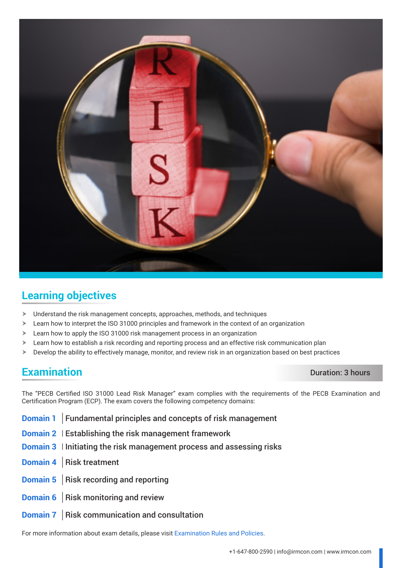

# **Learning objectives**

- $\blacktriangleright$  Understand the risk management concepts, approaches, methods, and techniques
- $\blacktriangleright$  Learn how to interpret the ISO 31000 principles and framework in the context of an organization
- $\blacktriangleright$  Learn how to apply the ISO 31000 risk management process in an organization
- $\geq$  Learn how to establish a risk recording and reporting process and an effective risk communication plan
- $\triangleright$  Develop the ability to effectively manage, monitor, and review risk in an organization based on best practices

## **Examination** Duration: 3 hours

The "PECB Certified ISO 31000 Lead Risk Manager" exam complies with the requirements of the PECB Examination and Certification Program (ECP). The exam covers the following competency domains:

- **Domain 1** Fundamental principles and concepts of risk management
- **Domain 2** Establishing the risk management framework
- **Domain 3** Initiating the risk management process and assessing risks
- **Domain 4** Risk treatment
- **Domain 5** Risk recording and reporting
- **Domain 6** Risk monitoring and review
- **Domain 7** Risk communication and consultation

For more information about exam details, please visit [Examination Rules and Policies](https://pecb.com/en/examination-rules-and-policies).